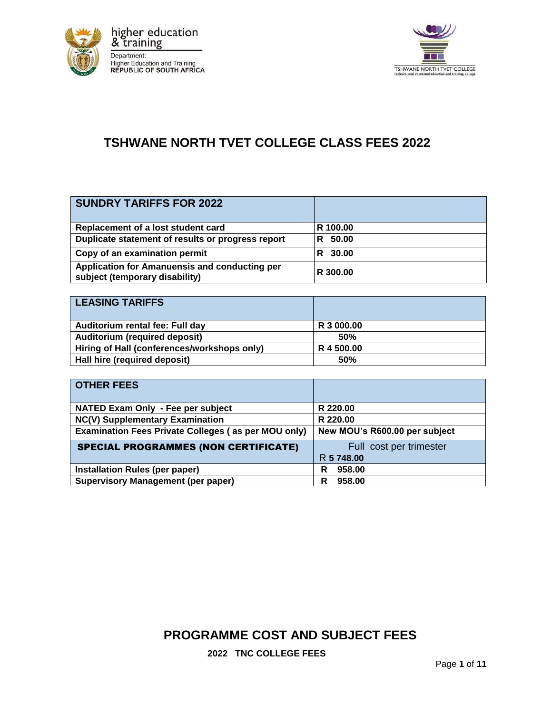



## **TSHWANE NORTH TVET COLLEGE CLASS FEES 2022**

| <b>SUNDRY TARIFFS FOR 2022</b>                                                  |             |
|---------------------------------------------------------------------------------|-------------|
| Replacement of a lost student card                                              | R 100.00    |
| Duplicate statement of results or progress report                               | 50.00<br>R. |
| Copy of an examination permit                                                   | 30.00<br>R. |
| Application for Amanuensis and conducting per<br>subject (temporary disability) | R 300.00    |

| <b>LEASING TARIFFS</b>                      |            |
|---------------------------------------------|------------|
| Auditorium rental fee: Full day             | R 3 000,00 |
| Auditorium (required deposit)               | <b>50%</b> |
| Hiring of Hall (conferences/workshops only) | R 4 500.00 |
| Hall hire (required deposit)                | 50%        |

| <b>OTHER FEES</b>                                   |                               |
|-----------------------------------------------------|-------------------------------|
| NATED Exam Only - Fee per subject                   | R 220.00                      |
| NC(V) Supplementary Examination                     | R 220.00                      |
| Examination Fees Private Colleges (as per MOU only) | New MOU's R600.00 per subject |
| <b>SPECIAL PROGRAMMES (NON CERTIFICATE)</b>         | Full cost per trimester       |
|                                                     | R 5 748.00                    |
| Installation Rules (per paper)                      | 958.00<br>R                   |
| <b>Supervisory Management (per paper)</b>           | 958.00<br>R                   |

**PROGRAMME COST AND SUBJECT FEES** 

**2022 TNC COLLEGE FEES**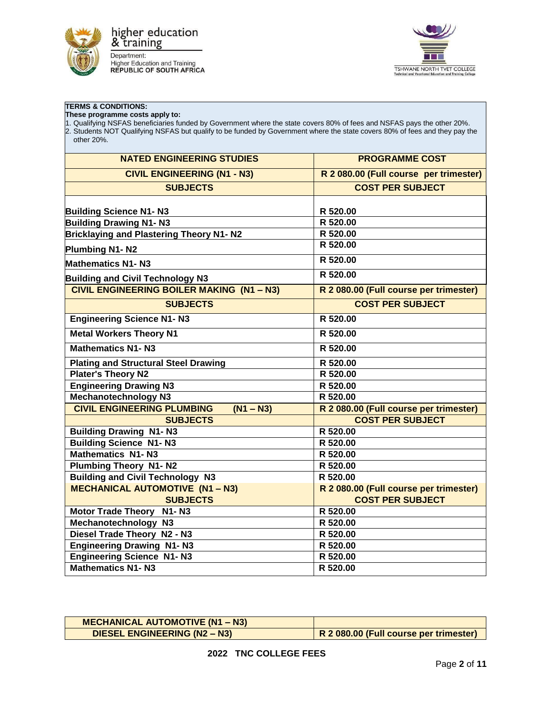

**TERMS & CONDITIONS:** 

**These programme costs apply to:** 



| 1. Qualifying NSFAS beneficiaries funded by Government where the state covers 80% of fees and NSFAS pays the other 20%.<br>2. Students NOT Qualifying NSFAS but qualify to be funded by Government where the state covers 80% of fees and they pay the<br>other 20%. |                                        |  |
|----------------------------------------------------------------------------------------------------------------------------------------------------------------------------------------------------------------------------------------------------------------------|----------------------------------------|--|
| <b>NATED ENGINEERING STUDIES</b>                                                                                                                                                                                                                                     | <b>PROGRAMME COST</b>                  |  |
| <b>CIVIL ENGINEERING (N1 - N3)</b>                                                                                                                                                                                                                                   | R 2 080.00 (Full course per trimester) |  |
| <b>SUBJECTS</b>                                                                                                                                                                                                                                                      | <b>COST PER SUBJECT</b>                |  |
|                                                                                                                                                                                                                                                                      |                                        |  |
| <b>Building Science N1- N3</b><br><b>Building Drawing N1-N3</b>                                                                                                                                                                                                      | R 520.00<br>R 520.00                   |  |
| <b>Bricklaying and Plastering Theory N1- N2</b>                                                                                                                                                                                                                      | R 520.00                               |  |
|                                                                                                                                                                                                                                                                      | R 520.00                               |  |
| Plumbing N1-N2                                                                                                                                                                                                                                                       |                                        |  |
| <b>Mathematics N1-N3</b>                                                                                                                                                                                                                                             | R 520.00                               |  |
| <b>Building and Civil Technology N3</b>                                                                                                                                                                                                                              | R 520.00                               |  |
| <b>CIVIL ENGINEERING BOILER MAKING (N1 - N3)</b>                                                                                                                                                                                                                     | R 2 080.00 (Full course per trimester) |  |
| <b>SUBJECTS</b>                                                                                                                                                                                                                                                      | <b>COST PER SUBJECT</b>                |  |
| <b>Engineering Science N1-N3</b>                                                                                                                                                                                                                                     | R 520.00                               |  |
| <b>Metal Workers Theory N1</b>                                                                                                                                                                                                                                       | R 520.00                               |  |
| <b>Mathematics N1-N3</b>                                                                                                                                                                                                                                             | R 520.00                               |  |
| <b>Plating and Structural Steel Drawing</b>                                                                                                                                                                                                                          | R 520.00                               |  |
| Plater's Theory N2                                                                                                                                                                                                                                                   | R 520.00                               |  |
| <b>Engineering Drawing N3</b>                                                                                                                                                                                                                                        | R 520.00                               |  |
| <b>Mechanotechnology N3</b>                                                                                                                                                                                                                                          | R 520.00                               |  |
| <b>CIVIL ENGINEERING PLUMBING</b><br>$(N1 - N3)$                                                                                                                                                                                                                     | R 2 080.00 (Full course per trimester) |  |
| <b>SUBJECTS</b>                                                                                                                                                                                                                                                      | <b>COST PER SUBJECT</b>                |  |
| <b>Building Drawing N1-N3</b>                                                                                                                                                                                                                                        | R 520.00                               |  |
| <b>Building Science N1-N3</b>                                                                                                                                                                                                                                        | R 520.00                               |  |
| <b>Mathematics N1-N3</b>                                                                                                                                                                                                                                             | R 520.00                               |  |
| <b>Plumbing Theory N1-N2</b>                                                                                                                                                                                                                                         | R 520.00                               |  |
| <b>Building and Civil Technology N3</b>                                                                                                                                                                                                                              | R 520.00                               |  |
| <b>MECHANICAL AUTOMOTIVE (N1 - N3)</b>                                                                                                                                                                                                                               | R 2 080.00 (Full course per trimester) |  |
| <b>SUBJECTS</b>                                                                                                                                                                                                                                                      | <b>COST PER SUBJECT</b>                |  |
| Motor Trade Theory N1-N3                                                                                                                                                                                                                                             | R 520.00                               |  |
| Mechanotechnology N3                                                                                                                                                                                                                                                 | R 520.00                               |  |
| Diesel Trade Theory N2 - N3                                                                                                                                                                                                                                          | R 520.00                               |  |
| <b>Engineering Drawing N1-N3</b>                                                                                                                                                                                                                                     | R 520.00                               |  |
| <b>Engineering Science N1-N3</b>                                                                                                                                                                                                                                     | R 520.00                               |  |
| <b>Mathematics N1-N3</b>                                                                                                                                                                                                                                             | R 520.00                               |  |

## **MECHANICAL AUTOMOTIVE (N1 – N3) DIESEL ENGINEERING (N2 – N3) R 2 080.00 (Full course per trimester)**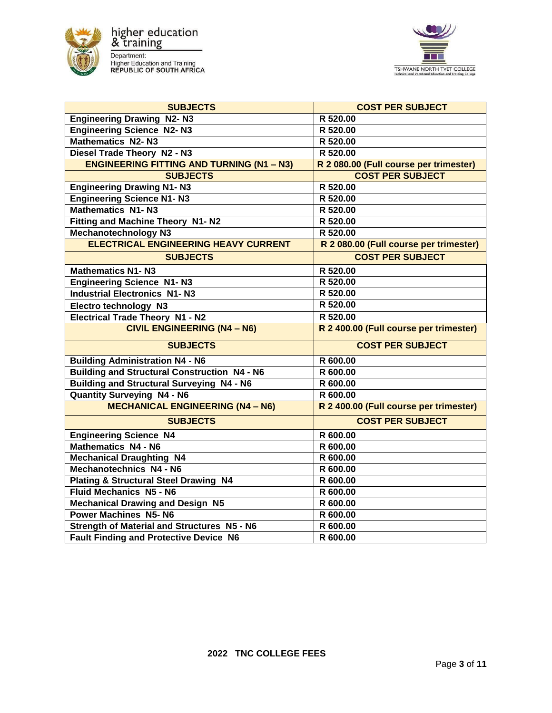



| <b>SUBJECTS</b>                                     | <b>COST PER SUBJECT</b>                |
|-----------------------------------------------------|----------------------------------------|
| <b>Engineering Drawing N2-N3</b>                    | R 520.00                               |
| <b>Engineering Science N2-N3</b>                    | R 520.00                               |
| <b>Mathematics N2-N3</b>                            | R 520.00                               |
| Diesel Trade Theory N2 - N3                         | R 520.00                               |
| <b>ENGINEERING FITTING AND TURNING (N1 - N3)</b>    | R 2 080.00 (Full course per trimester) |
| <b>SUBJECTS</b>                                     | <b>COST PER SUBJECT</b>                |
| <b>Engineering Drawing N1-N3</b>                    | R 520.00                               |
| <b>Engineering Science N1-N3</b>                    | R 520.00                               |
| <b>Mathematics N1-N3</b>                            | R 520.00                               |
| Fitting and Machine Theory N1-N2                    | R 520.00                               |
| <b>Mechanotechnology N3</b>                         | R 520.00                               |
| <b>ELECTRICAL ENGINEERING HEAVY CURRENT</b>         | R 2 080.00 (Full course per trimester) |
| <b>SUBJECTS</b>                                     | <b>COST PER SUBJECT</b>                |
| <b>Mathematics N1-N3</b>                            | R 520.00                               |
| <b>Engineering Science N1-N3</b>                    | R 520.00                               |
| <b>Industrial Electronics N1-N3</b>                 | R 520.00                               |
| Electro technology N3                               | R 520.00                               |
| <b>Electrical Trade Theory N1 - N2</b>              | R 520.00                               |
| <b>CIVIL ENGINEERING (N4 - N6)</b>                  | R 2 400.00 (Full course per trimester) |
| <b>SUBJECTS</b>                                     | <b>COST PER SUBJECT</b>                |
| <b>Building Administration N4 - N6</b>              | R 600.00                               |
| <b>Building and Structural Construction N4 - N6</b> | R 600.00                               |
| <b>Building and Structural Surveying N4 - N6</b>    | R 600.00                               |
| <b>Quantity Surveying N4 - N6</b>                   | R 600.00                               |
| <b>MECHANICAL ENGINEERING (N4 - N6)</b>             | R 2 400.00 (Full course per trimester) |
| <b>SUBJECTS</b>                                     | <b>COST PER SUBJECT</b>                |
| <b>Engineering Science N4</b>                       | R 600.00                               |
| <b>Mathematics N4 - N6</b>                          | R 600.00                               |
| <b>Mechanical Draughting N4</b>                     | R 600.00                               |
| Mechanotechnics N4 - N6                             | R 600.00                               |
| <b>Plating &amp; Structural Steel Drawing N4</b>    | R 600.00                               |
| <b>Fluid Mechanics N5 - N6</b>                      | R 600.00                               |
| <b>Mechanical Drawing and Design N5</b>             | R 600.00                               |
| <b>Power Machines N5-N6</b>                         | R 600.00                               |
| <b>Strength of Material and Structures N5 - N6</b>  | R 600.00                               |
| <b>Fault Finding and Protective Device N6</b>       | R 600.00                               |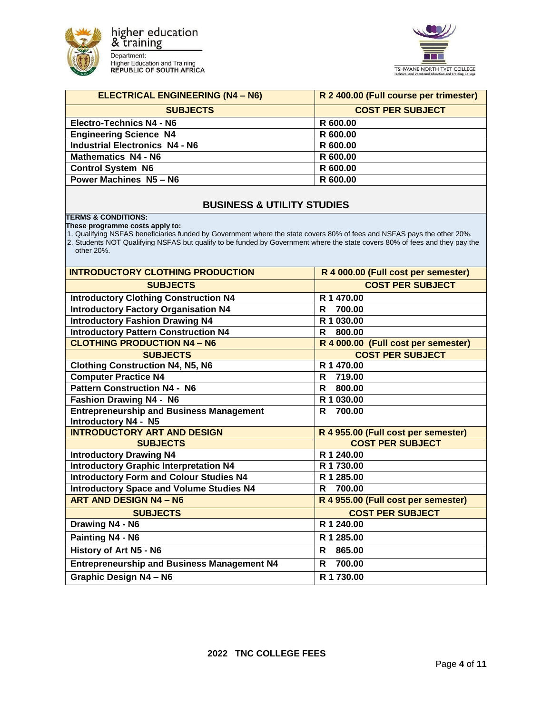



| <b>ELECTRICAL ENGINEERING (N4 - N6)</b> | R 2 400.00 (Full course per trimester) |
|-----------------------------------------|----------------------------------------|
| <b>SUBJECTS</b>                         | <b>COST PER SUBJECT</b>                |
| <b>Electro-Technics N4 - N6</b>         | R 600.00                               |
| <b>Engineering Science N4</b>           | R 600.00                               |
| <b>Industrial Electronics N4 - N6</b>   | R 600.00                               |
| <b>Mathematics N4 - N6</b>              | R 600.00                               |
| <b>Control System N6</b>                | R 600.00                               |
| <b>Power Machines N5 - N6</b>           | R 600.00                               |
|                                         |                                        |

## **BUSINESS & UTILITY STUDIES**

## **TERMS & CONDITIONS:**

**These programme costs apply to:** 

1. Qualifying NSFAS beneficiaries funded by Government where the state covers 80% of fees and NSFAS pays the other 20%.

2. Students NOT Qualifying NSFAS but qualify to be funded by Government where the state covers 80% of fees and they pay the other 20%.

| <b>INTRODUCTORY CLOTHING PRODUCTION</b>            | R 4 000.00 (Full cost per semester) |
|----------------------------------------------------|-------------------------------------|
| <b>SUBJECTS</b>                                    | <b>COST PER SUBJECT</b>             |
| <b>Introductory Clothing Construction N4</b>       | R 1 470.00                          |
| <b>Introductory Factory Organisation N4</b>        | R<br>700.00                         |
| <b>Introductory Fashion Drawing N4</b>             | R 1 030.00                          |
| <b>Introductory Pattern Construction N4</b>        | 800.00<br>R                         |
| <b>CLOTHING PRODUCTION N4 - N6</b>                 | R 4 000.00 (Full cost per semester) |
| <b>SUBJECTS</b>                                    | <b>COST PER SUBJECT</b>             |
| <b>Clothing Construction N4, N5, N6</b>            | R 1 470.00                          |
| <b>Computer Practice N4</b>                        | 719.00<br>R                         |
| <b>Pattern Construction N4 - N6</b>                | 800.00<br>R                         |
| <b>Fashion Drawing N4 - N6</b>                     | R 1 030.00                          |
| <b>Entrepreneurship and Business Management</b>    | 700.00<br>R                         |
| <b>Introductory N4 - N5</b>                        |                                     |
| <b>INTRODUCTORY ART AND DESIGN</b>                 | R 4 955.00 (Full cost per semester) |
| <b>SUBJECTS</b>                                    | <b>COST PER SUBJECT</b>             |
| <b>Introductory Drawing N4</b>                     | R 1 240.00                          |
| <b>Introductory Graphic Interpretation N4</b>      | R 1 730.00                          |
| <b>Introductory Form and Colour Studies N4</b>     | R 1 285.00                          |
| <b>Introductory Space and Volume Studies N4</b>    | 700.00<br>R                         |
| <b>ART AND DESIGN N4 - N6</b>                      | R 4 955.00 (Full cost per semester) |
| <b>SUBJECTS</b>                                    | <b>COST PER SUBJECT</b>             |
| Drawing N4 - N6                                    | R 1 240.00                          |
| Painting N4 - N6                                   | R 1 285.00                          |
| History of Art N5 - N6                             | 865.00<br>R                         |
| <b>Entrepreneurship and Business Management N4</b> | 700.00<br>R                         |
| <b>Graphic Design N4 - N6</b>                      | R 1 730.00                          |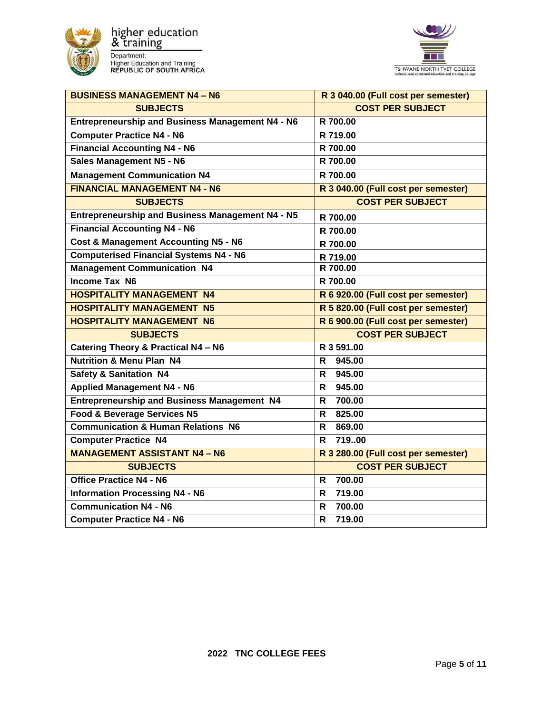



| <b>BUSINESS MANAGEMENT N4 - N6</b>                 | R 3 040.00 (Full cost per semester) |
|----------------------------------------------------|-------------------------------------|
| <b>SUBJECTS</b>                                    | <b>COST PER SUBJECT</b>             |
| Entrepreneurship and Business Management N4 - N6   | R 700.00                            |
| <b>Computer Practice N4 - N6</b>                   | R 719.00                            |
| <b>Financial Accounting N4 - N6</b>                | R 700.00                            |
| <b>Sales Management N5 - N6</b>                    | R 700.00                            |
| <b>Management Communication N4</b>                 | R 700.00                            |
| <b>FINANCIAL MANAGEMENT N4 - N6</b>                | R 3 040.00 (Full cost per semester) |
| <b>SUBJECTS</b>                                    | <b>COST PER SUBJECT</b>             |
| Entrepreneurship and Business Management N4 - N5   | R 700.00                            |
| <b>Financial Accounting N4 - N6</b>                | R 700.00                            |
| <b>Cost &amp; Management Accounting N5 - N6</b>    | R 700.00                            |
| <b>Computerised Financial Systems N4 - N6</b>      | R 719.00                            |
| <b>Management Communication N4</b>                 | R 700.00                            |
| <b>Income Tax N6</b>                               | R 700.00                            |
| <b>HOSPITALITY MANAGEMENT N4</b>                   | R 6 920.00 (Full cost per semester) |
| <b>HOSPITALITY MANAGEMENT N5</b>                   | R 5 820.00 (Full cost per semester) |
| <b>HOSPITALITY MANAGEMENT N6</b>                   | R 6 900.00 (Full cost per semester) |
| <b>SUBJECTS</b>                                    | <b>COST PER SUBJECT</b>             |
| Catering Theory & Practical N4 - N6                | R 3 591.00                          |
| <b>Nutrition &amp; Menu Plan N4</b>                | 945.00<br>R                         |
| <b>Safety &amp; Sanitation N4</b>                  | 945.00<br>R                         |
| <b>Applied Management N4 - N6</b>                  | 945.00<br>R                         |
| <b>Entrepreneurship and Business Management N4</b> | 700.00<br>R                         |
| <b>Food &amp; Beverage Services N5</b>             | 825.00<br>R                         |
| <b>Communication &amp; Human Relations N6</b>      | R<br>869.00                         |
| <b>Computer Practice N4</b>                        | 71900<br>R                          |
| <b>MANAGEMENT ASSISTANT N4 - N6</b>                | R 3 280.00 (Full cost per semester) |
| <b>SUBJECTS</b>                                    | <b>COST PER SUBJECT</b>             |
| <b>Office Practice N4 - N6</b>                     | 700.00<br>R.                        |
| <b>Information Processing N4 - N6</b>              | 719.00<br>R                         |
| <b>Communication N4 - N6</b>                       | 700.00<br>R                         |
| <b>Computer Practice N4 - N6</b>                   | $\mathsf{R}$<br>719.00              |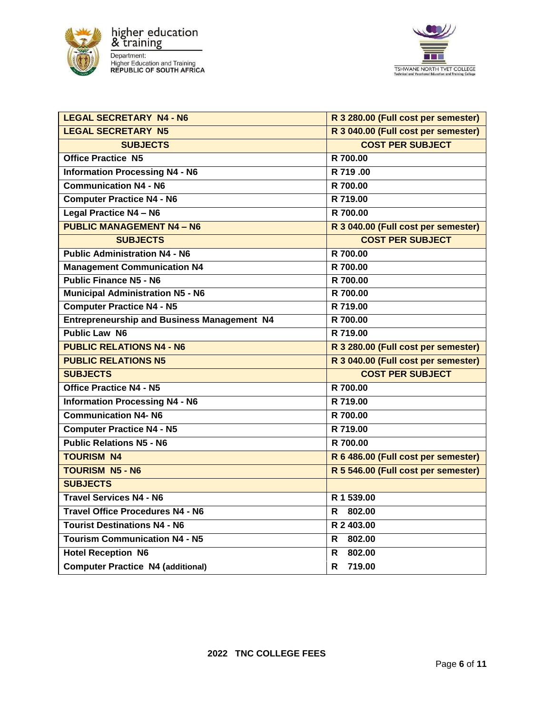



| <b>LEGAL SECRETARY N4 - N6</b>                     | R 3 280.00 (Full cost per semester) |
|----------------------------------------------------|-------------------------------------|
| <b>LEGAL SECRETARY N5</b>                          | R 3 040.00 (Full cost per semester) |
| <b>SUBJECTS</b>                                    | <b>COST PER SUBJECT</b>             |
| <b>Office Practice N5</b>                          | R 700.00                            |
| <b>Information Processing N4 - N6</b>              | R 719.00                            |
| <b>Communication N4 - N6</b>                       | R 700.00                            |
| <b>Computer Practice N4 - N6</b>                   | R 719.00                            |
| <b>Legal Practice N4 - N6</b>                      | R 700.00                            |
| <b>PUBLIC MANAGEMENT N4 - N6</b>                   | R 3 040.00 (Full cost per semester) |
| <b>SUBJECTS</b>                                    | <b>COST PER SUBJECT</b>             |
| <b>Public Administration N4 - N6</b>               | R 700.00                            |
| <b>Management Communication N4</b>                 | R 700.00                            |
| <b>Public Finance N5 - N6</b>                      | R 700.00                            |
| <b>Municipal Administration N5 - N6</b>            | R 700.00                            |
| <b>Computer Practice N4 - N5</b>                   | R 719.00                            |
| <b>Entrepreneurship and Business Management N4</b> | R 700.00                            |
| <b>Public Law N6</b>                               | R 719.00                            |
| <b>PUBLIC RELATIONS N4 - N6</b>                    | R 3 280.00 (Full cost per semester) |
| <b>PUBLIC RELATIONS N5</b>                         | R 3 040.00 (Full cost per semester) |
| <b>SUBJECTS</b>                                    | <b>COST PER SUBJECT</b>             |
| <b>Office Practice N4 - N5</b>                     | R 700.00                            |
| <b>Information Processing N4 - N6</b>              | R 719.00                            |
| <b>Communication N4- N6</b>                        | R 700.00                            |
| <b>Computer Practice N4 - N5</b>                   | R 719.00                            |
| <b>Public Relations N5 - N6</b>                    | R 700.00                            |
| <b>TOURISM N4</b>                                  | R 6 486.00 (Full cost per semester) |
| <b>TOURISM N5 - N6</b>                             | R 5 546.00 (Full cost per semester) |
| <b>SUBJECTS</b>                                    |                                     |
| <b>Travel Services N4 - N6</b>                     | R 1 539.00                          |
| <b>Travel Office Procedures N4 - N6</b>            | R<br>802.00                         |
| <b>Tourist Destinations N4 - N6</b>                | R 2 403.00                          |
| <b>Tourism Communication N4 - N5</b>               | 802.00<br>R.                        |
| <b>Hotel Reception N6</b>                          | 802.00<br>R.                        |
| <b>Computer Practice N4 (additional)</b>           | 719.00<br>R.                        |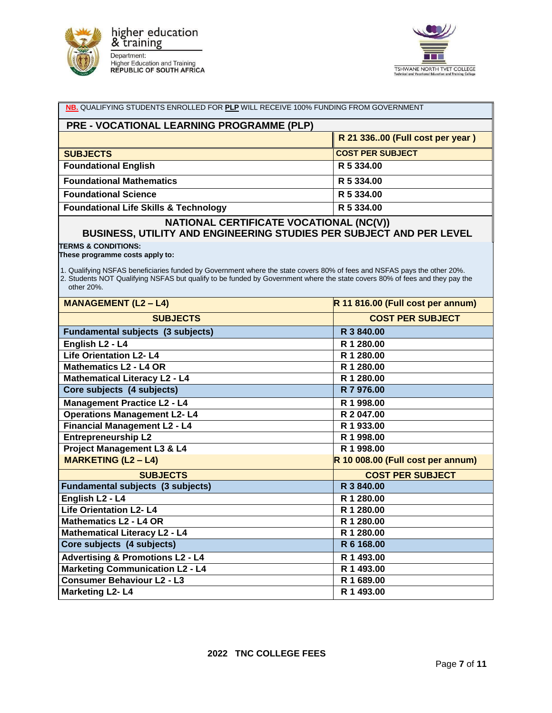



| NB. QUALIFYING STUDENTS ENROLLED FOR PLP WILL RECEIVE 100% FUNDING FROM GOVERNMENT                                                                                                                                                                                   |                                   |  |
|----------------------------------------------------------------------------------------------------------------------------------------------------------------------------------------------------------------------------------------------------------------------|-----------------------------------|--|
| PRE - VOCATIONAL LEARNING PROGRAMME (PLP)                                                                                                                                                                                                                            |                                   |  |
|                                                                                                                                                                                                                                                                      | R 21 33600 (Full cost per year)   |  |
| <b>SUBJECTS</b>                                                                                                                                                                                                                                                      | <b>COST PER SUBJECT</b>           |  |
| <b>Foundational English</b>                                                                                                                                                                                                                                          | R 5 334.00                        |  |
| <b>Foundational Mathematics</b>                                                                                                                                                                                                                                      | R 5 334.00                        |  |
| <b>Foundational Science</b>                                                                                                                                                                                                                                          | R 5 334.00                        |  |
| <b>Foundational Life Skills &amp; Technology</b>                                                                                                                                                                                                                     | R 5 334.00                        |  |
| NATIONAL CERTIFICATE VOCATIONAL (NC(V))<br>BUSINESS, UTILITY AND ENGINEERING STUDIES PER SUBJECT AND PER LEVEL                                                                                                                                                       |                                   |  |
| <b>TERMS &amp; CONDITIONS:</b><br>These programme costs apply to:                                                                                                                                                                                                    |                                   |  |
| 1. Qualifying NSFAS beneficiaries funded by Government where the state covers 80% of fees and NSFAS pays the other 20%.<br>2. Students NOT Qualifying NSFAS but qualify to be funded by Government where the state covers 80% of fees and they pay the<br>other 20%. |                                   |  |
| <b>MANAGEMENT (L2 - L4)</b>                                                                                                                                                                                                                                          | R 11 816.00 (Full cost per annum) |  |
| <b>SUBJECTS</b>                                                                                                                                                                                                                                                      | <b>COST PER SUBJECT</b>           |  |
| Fundamental subjects (3 subjects)                                                                                                                                                                                                                                    | R 3 840.00                        |  |
| English L <sub>2</sub> - L <sub>4</sub>                                                                                                                                                                                                                              | R 1 280.00                        |  |
| Life Orientation L2-L4                                                                                                                                                                                                                                               | R 1 280.00                        |  |
| <b>Mathematics L2 - L4 OR</b>                                                                                                                                                                                                                                        | R 1 280.00                        |  |
| <b>Mathematical Literacy L2 - L4</b>                                                                                                                                                                                                                                 | R 1 280.00                        |  |
| Core subjects (4 subjects)                                                                                                                                                                                                                                           | R 7 976.00                        |  |
| <b>Management Practice L2 - L4</b>                                                                                                                                                                                                                                   | R 1 998.00                        |  |
| <b>Operations Management L2-L4</b>                                                                                                                                                                                                                                   | R 2 047.00                        |  |
| <b>Financial Management L2 - L4</b>                                                                                                                                                                                                                                  | R 1 933.00                        |  |
| <b>Entrepreneurship L2</b>                                                                                                                                                                                                                                           | R 1 998.00                        |  |
| <b>Project Management L3 &amp; L4</b>                                                                                                                                                                                                                                | R 1 998.00                        |  |
| <b>MARKETING (L2 - L4)</b>                                                                                                                                                                                                                                           | R 10 008.00 (Full cost per annum) |  |
| <b>SUBJECTS</b>                                                                                                                                                                                                                                                      | <b>COST PER SUBJECT</b>           |  |
| <b>Fundamental subjects (3 subjects)</b>                                                                                                                                                                                                                             | R 3 840.00                        |  |
| English L <sub>2</sub> - L <sub>4</sub>                                                                                                                                                                                                                              | R 1 280.00                        |  |
| <b>Life Orientation L2-L4</b>                                                                                                                                                                                                                                        | R 1 280.00                        |  |
| <b>Mathematics L2 - L4 OR</b>                                                                                                                                                                                                                                        | R 1 280.00                        |  |
| <b>Mathematical Literacy L2 - L4</b>                                                                                                                                                                                                                                 | R 1 280.00                        |  |
| Core subjects (4 subjects)                                                                                                                                                                                                                                           | R 6 168.00                        |  |
| <b>Advertising &amp; Promotions L2 - L4</b>                                                                                                                                                                                                                          | R 1 493.00                        |  |
| <b>Marketing Communication L2 - L4</b>                                                                                                                                                                                                                               | R 1 493.00                        |  |
| <b>Consumer Behaviour L2 - L3</b>                                                                                                                                                                                                                                    | R 1 689.00                        |  |
| <b>Marketing L2-L4</b>                                                                                                                                                                                                                                               | R 1 493.00                        |  |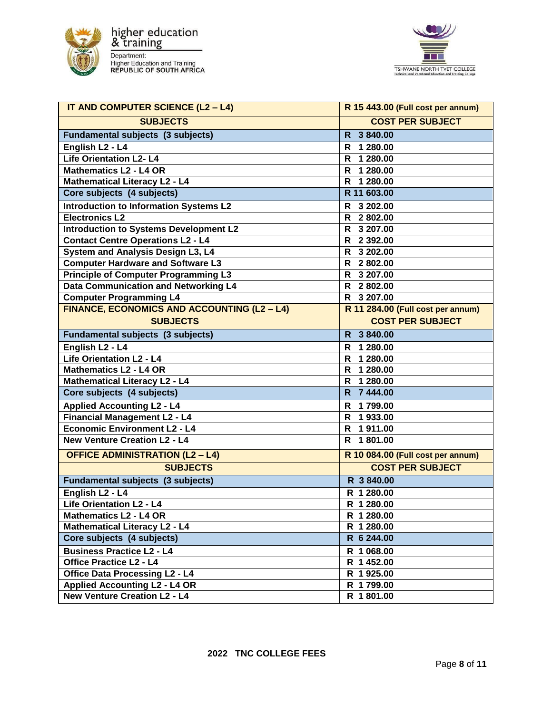



| IT AND COMPUTER SCIENCE (L2 - L4)                | R 15 443.00 (Full cost per annum) |
|--------------------------------------------------|-----------------------------------|
| <b>SUBJECTS</b>                                  | <b>COST PER SUBJECT</b>           |
| Fundamental subjects (3 subjects)                | 3 840.00<br>R                     |
| English L <sub>2</sub> - L <sub>4</sub>          | 1 280.00<br>R                     |
| <b>Life Orientation L2-L4</b>                    | $\frac{1}{1}$ 280.00<br>R         |
| <b>Mathematics L2 - L4 OR</b>                    | 1 280.00<br>R                     |
| <b>Mathematical Literacy L2 - L4</b>             | 1 280.00<br>R                     |
| Core subjects (4 subjects)                       | R 11 603.00                       |
| <b>Introduction to Information Systems L2</b>    | 3 202.00<br>R                     |
| <b>Electronics L2</b>                            | R 2802.00                         |
| <b>Introduction to Systems Development L2</b>    | R 3 207.00                        |
| <b>Contact Centre Operations L2 - L4</b>         | R 2 392.00                        |
| System and Analysis Design L3, L4                | R 3 202.00                        |
| <b>Computer Hardware and Software L3</b>         | R 2802.00                         |
| <b>Principle of Computer Programming L3</b>      | 3 207.00<br>R.                    |
| Data Communication and Networking L4             | 2 802.00<br>R                     |
| <b>Computer Programming L4</b>                   | 3 207.00<br>R                     |
| FINANCE, ECONOMICS AND ACCOUNTING (L2 - L4)      | R 11 284.00 (Full cost per annum) |
| <b>SUBJECTS</b>                                  | <b>COST PER SUBJECT</b>           |
| <b>Fundamental subjects (3 subjects)</b>         | 3 840.00<br>R.                    |
| English L <sub>2</sub> - L <sub>4</sub>          | 1 280.00<br>R                     |
| <b>Life Orientation L2 - L4</b>                  | $\frac{1}{1}$ 280.00<br>R.        |
| <b>Mathematics L2 - L4 OR</b>                    | R 1 280.00                        |
| <b>Mathematical Literacy L2 - L4</b>             | 1 280.00<br>R.                    |
| Core subjects (4 subjects)                       | 7 444.00<br>R                     |
| <b>Applied Accounting L2 - L4</b>                | 1799.00<br>R                      |
| <b>Financial Management L2 - L4</b>              | 1933.00<br>R                      |
| <b>Economic Environment L2 - L4</b>              | 1911.00<br>R                      |
| <b>New Venture Creation L2 - L4</b>              | 1 801.00<br>R                     |
| <b>OFFICE ADMINISTRATION (L2 - L4)</b>           | R 10 084.00 (Full cost per annum) |
| <b>SUBJECTS</b>                                  | <b>COST PER SUBJECT</b>           |
| Fundamental subjects (3 subjects)                | R 3840.00                         |
| English L <sub>2</sub> - L <sub>4</sub>          | R 1 280.00                        |
| Life Orientation L <sub>2</sub> - L <sub>4</sub> | R 1 280.00                        |
| <b>Mathematics L2 - L4 OR</b>                    | R 1 280.00                        |
| <b>Mathematical Literacy L2 - L4</b>             | R 1 280.00                        |
| Core subjects (4 subjects)                       | R 6 244.00                        |
| <b>Business Practice L2 - L4</b>                 | R 1 068.00                        |
| <b>Office Practice L2 - L4</b>                   | R 1452.00                         |
| <b>Office Data Processing L2 - L4</b>            | R 1925.00                         |
| <b>Applied Accounting L2 - L4 OR</b>             | R 1799.00                         |
| <b>New Venture Creation L2 - L4</b>              | R 1801.00                         |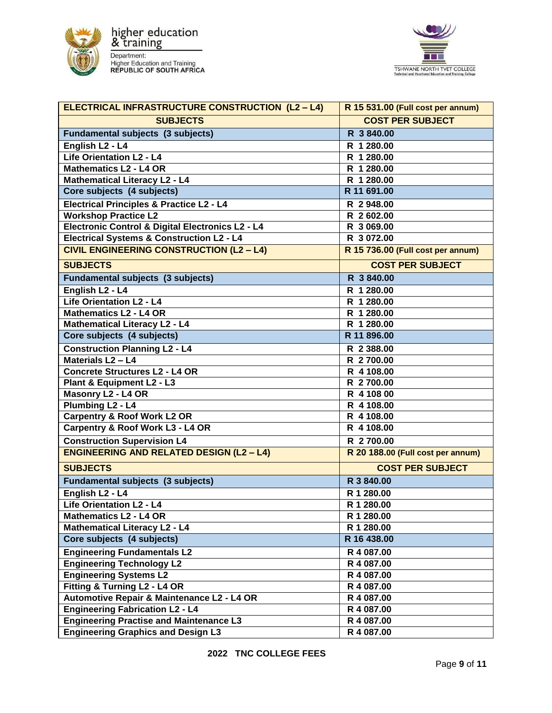



| <b>ELECTRICAL INFRASTRUCTURE CONSTRUCTION (L2-L4)</b> | R 15 531.00 (Full cost per annum) |
|-------------------------------------------------------|-----------------------------------|
| <b>SUBJECTS</b>                                       | <b>COST PER SUBJECT</b>           |
| <b>Fundamental subjects (3 subjects)</b>              | R 3840.00                         |
| English L <sub>2</sub> - L <sub>4</sub>               | R 1 280.00                        |
| <b>Life Orientation L2 - L4</b>                       | R 1 280.00                        |
| <b>Mathematics L2 - L4 OR</b>                         | R 1 280.00                        |
| <b>Mathematical Literacy L2 - L4</b>                  | R 1 280.00                        |
| Core subjects (4 subjects)                            | R 11 691.00                       |
| <b>Electrical Principles &amp; Practice L2 - L4</b>   | R 2948.00                         |
| <b>Workshop Practice L2</b>                           | R 2602.00                         |
| Electronic Control & Digital Electronics L2 - L4      | R 3 069.00                        |
| <b>Electrical Systems &amp; Construction L2 - L4</b>  | R 3 072.00                        |
| <b>CIVIL ENGINEERING CONSTRUCTION (L2 - L4)</b>       | R 15 736.00 (Full cost per annum) |
| <b>SUBJECTS</b>                                       | <b>COST PER SUBJECT</b>           |
| <b>Fundamental subjects (3 subjects)</b>              | R 3840.00                         |
| English L <sub>2</sub> - L <sub>4</sub>               | R 1 280.00                        |
| <b>Life Orientation L2 - L4</b>                       | R 1 280.00                        |
| <b>Mathematics L2 - L4 OR</b>                         | R 1 280.00                        |
| <b>Mathematical Literacy L2 - L4</b>                  | R 1 280.00                        |
| Core subjects (4 subjects)                            | R 11 896.00                       |
| <b>Construction Planning L2 - L4</b>                  | R 2 388.00                        |
| Materials L <sub>2</sub> - L <sub>4</sub>             | R 2700.00                         |
| <b>Concrete Structures L2 - L4 OR</b>                 | R 4 108.00                        |
| Plant & Equipment L2 - L3                             | R 2700.00                         |
| Masonry L2 - L4 OR                                    | R 4 108 00                        |
| Plumbing L <sub>2</sub> - L <sub>4</sub>              | R 4 108.00                        |
| <b>Carpentry &amp; Roof Work L2 OR</b>                | R 4 108.00                        |
| Carpentry & Roof Work L3 - L4 OR                      | R 4 108.00                        |
| <b>Construction Supervision L4</b>                    | R 2700.00                         |
| <b>ENGINEERING AND RELATED DESIGN (L2 - L4)</b>       | R 20 188.00 (Full cost per annum) |
| <b>SUBJECTS</b>                                       | <b>COST PER SUBJECT</b>           |
| Fundamental subjects (3 subjects)                     | R 3 840.00                        |
| English L <sub>2</sub> - L <sub>4</sub>               | R 1 280.00                        |
| Life Orientation L2 - L4                              | R 1 280.00                        |
| <b>Mathematics L2 - L4 OR</b>                         | R 1 280.00                        |
| <b>Mathematical Literacy L2 - L4</b>                  | R 1 280.00                        |
| Core subjects (4 subjects)                            | R 16 438.00                       |
| <b>Engineering Fundamentals L2</b>                    | R 4 087.00                        |
| <b>Engineering Technology L2</b>                      | R 4 087.00                        |
| <b>Engineering Systems L2</b>                         | R 4 087.00                        |
| Fitting & Turning L2 - L4 OR                          | R 4 087.00                        |
| Automotive Repair & Maintenance L2 - L4 OR            | R 4 087.00                        |
| <b>Engineering Fabrication L2 - L4</b>                | R 4 087.00                        |
| <b>Engineering Practise and Maintenance L3</b>        | R 4 087.00                        |
| <b>Engineering Graphics and Design L3</b>             | R 4 087.00                        |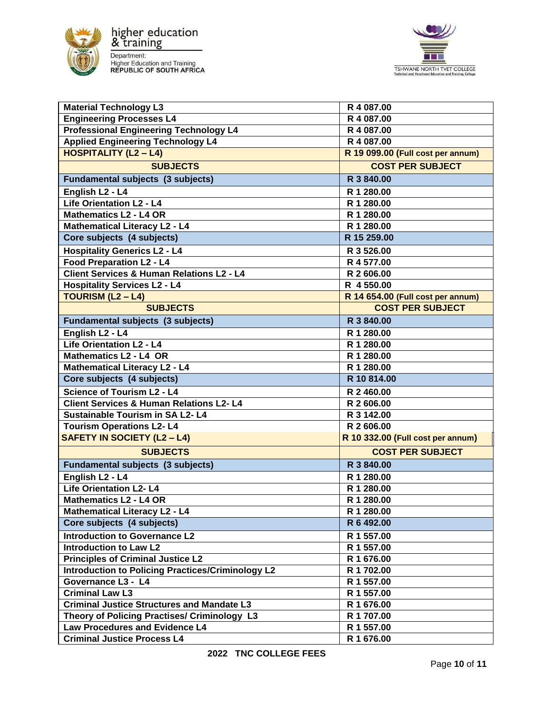



| <b>Material Technology L3</b>                            | R 4 087.00                        |
|----------------------------------------------------------|-----------------------------------|
| <b>Engineering Processes L4</b>                          | R 4 087.00                        |
| <b>Professional Engineering Technology L4</b>            | R 4 087.00                        |
| <b>Applied Engineering Technology L4</b>                 | R 4 087.00                        |
| <b>HOSPITALITY (L2-L4)</b>                               | R 19 099.00 (Full cost per annum) |
| <b>SUBJECTS</b>                                          | <b>COST PER SUBJECT</b>           |
| <b>Fundamental subjects (3 subjects)</b>                 | R 3 840.00                        |
| English L <sub>2</sub> - L <sub>4</sub>                  | R 1 280.00                        |
| <b>Life Orientation L2 - L4</b>                          | R 1 280.00                        |
| <b>Mathematics L2 - L4 OR</b>                            | R 1 280.00                        |
| <b>Mathematical Literacy L2 - L4</b>                     | R 1 280.00                        |
| Core subjects (4 subjects)                               | R 15 259.00                       |
| <b>Hospitality Generics L2 - L4</b>                      | R 3 526.00                        |
| <b>Food Preparation L2 - L4</b>                          | R 4 577.00                        |
| <b>Client Services &amp; Human Relations L2 - L4</b>     | R 2 606.00                        |
| <b>Hospitality Services L2 - L4</b>                      | R 4 550.00                        |
| <b>TOURISM (L2 - L4)</b>                                 | R 14 654.00 (Full cost per annum) |
| <b>SUBJECTS</b>                                          | <b>COST PER SUBJECT</b>           |
| <b>Fundamental subjects (3 subjects)</b>                 | R 3 840.00                        |
| English L <sub>2</sub> - L <sub>4</sub>                  | R 1 280.00                        |
| <b>Life Orientation L2 - L4</b>                          | R 1 280.00                        |
| <b>Mathematics L2 - L4 OR</b>                            | R 1 280.00                        |
| <b>Mathematical Literacy L2 - L4</b>                     | R 1 280.00                        |
| Core subjects (4 subjects)                               | R 10 814.00                       |
| <b>Science of Tourism L2 - L4</b>                        | R 2 460.00                        |
| <b>Client Services &amp; Human Relations L2-L4</b>       | R 2 606.00                        |
| <b>Sustainable Tourism in SA L2-L4</b>                   | R 3 142.00                        |
| <b>Tourism Operations L2-L4</b>                          | R 2 606.00                        |
| <b>SAFETY IN SOCIETY (L2 - L4)</b>                       | R 10 332.00 (Full cost per annum) |
| <b>SUBJECTS</b>                                          | <b>COST PER SUBJECT</b>           |
| <b>Fundamental subjects (3 subjects)</b>                 | R 3 840.00                        |
| English L <sub>2</sub> - L <sub>4</sub>                  | R 1 280.00                        |
| <b>Life Orientation L2-L4</b>                            | R 1 280.00                        |
| <b>Mathematics L2 - L4 OR</b>                            | R 1 280.00                        |
| <b>Mathematical Literacy L2 - L4</b>                     | R 1 280.00                        |
| Core subjects (4 subjects)                               | R 6 492.00                        |
| <b>Introduction to Governance L2</b>                     | R 1 557.00                        |
| <b>Introduction to Law L2</b>                            | R 1 557.00                        |
| <b>Principles of Criminal Justice L2</b>                 | R 1 676.00                        |
| <b>Introduction to Policing Practices/Criminology L2</b> | R 1 702.00                        |
| Governance L3 - L4                                       | R 1 557.00                        |
| <b>Criminal Law L3</b>                                   | R 1 557.00                        |
| <b>Criminal Justice Structures and Mandate L3</b>        | R 1 676.00                        |
| Theory of Policing Practises/ Criminology L3             | R 1 707.00                        |
| <b>Law Procedures and Evidence L4</b>                    | R 1 557.00                        |
| <b>Criminal Justice Process L4</b>                       | R 1 676.00                        |